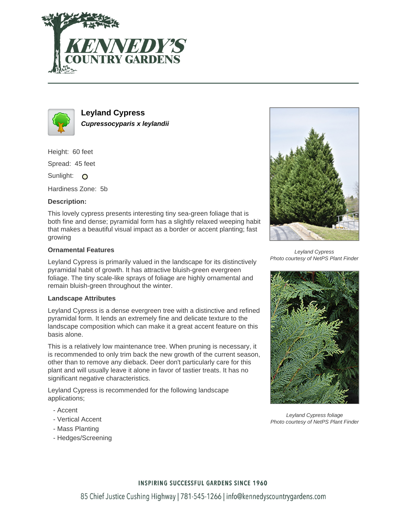



**Leyland Cypress Cupressocyparis x leylandii**

Height: 60 feet

Spread: 45 feet

Sunlight: O

Hardiness Zone: 5b

## **Description:**

This lovely cypress presents interesting tiny sea-green foliage that is both fine and dense; pyramidal form has a slightly relaxed weeping habit that makes a beautiful visual impact as a border or accent planting; fast growing

### **Ornamental Features**

Leyland Cypress is primarily valued in the landscape for its distinctively pyramidal habit of growth. It has attractive bluish-green evergreen foliage. The tiny scale-like sprays of foliage are highly ornamental and remain bluish-green throughout the winter.

### **Landscape Attributes**

Leyland Cypress is a dense evergreen tree with a distinctive and refined pyramidal form. It lends an extremely fine and delicate texture to the landscape composition which can make it a great accent feature on this basis alone.

This is a relatively low maintenance tree. When pruning is necessary, it is recommended to only trim back the new growth of the current season, other than to remove any dieback. Deer don't particularly care for this plant and will usually leave it alone in favor of tastier treats. It has no significant negative characteristics.

Leyland Cypress is recommended for the following landscape applications;

- Accent
- Vertical Accent
- Mass Planting
- Hedges/Screening



Leyland Cypress Photo courtesy of NetPS Plant Finder



Leyland Cypress foliage Photo courtesy of NetPS Plant Finder

### **INSPIRING SUCCESSFUL GARDENS SINCE 1960**